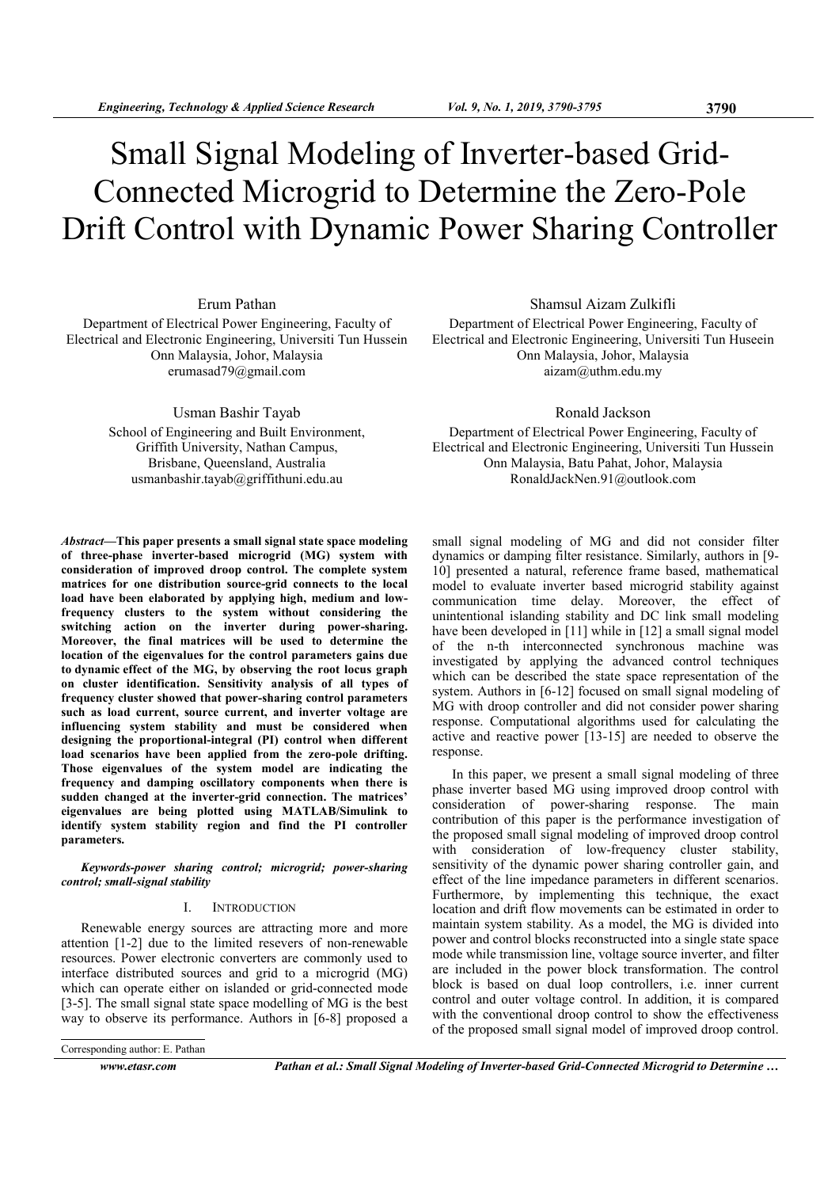# Small Signal Modeling of Inverter-based Grid-Connected Microgrid to Determine the Zero-Pole Drift Control with Dynamic Power Sharing Controller

Erum Pathan

Department of Electrical Power Engineering, Faculty of Electrical and Electronic Engineering, Universiti Tun Hussein Onn Malaysia, Johor, Malaysia erumasad79@gmail.com

> Usman Bashir Tayab School of Engineering and Built Environment, Griffith University, Nathan Campus, Brisbane, Queensland, Australia usmanbashir.tayab@griffithuni.edu.au

Abstract—This paper presents a small signal state space modeling of three-phase inverter-based microgrid (MG) system with consideration of improved droop control. The complete system matrices for one distribution source-grid connects to the local load have been elaborated by applying high, medium and lowfrequency clusters to the system without considering the switching action on the inverter during power-sharing. Moreover, the final matrices will be used to determine the location of the eigenvalues for the control parameters gains due to dynamic effect of the MG, by observing the root locus graph on cluster identification. Sensitivity analysis of all types of frequency cluster showed that power-sharing control parameters such as load current, source current, and inverter voltage are influencing system stability and must be considered when designing the proportional-integral (PI) control when different load scenarios have been applied from the zero-pole drifting. Those eigenvalues of the system model are indicating the frequency and damping oscillatory components when there is sudden changed at the inverter-grid connection. The matrices' eigenvalues are being plotted using MATLAB/Simulink to identify system stability region and find the PI controller parameters.

Keywords-power sharing control; microgrid; power-sharing control; small-signal stability

# I. INTRODUCTION

Renewable energy sources are attracting more and more attention [1-2] due to the limited resevers of non-renewable resources. Power electronic converters are commonly used to interface distributed sources and grid to a microgrid (MG) which can operate either on islanded or grid-connected mode [3-5]. The small signal state space modelling of MG is the best way to observe its performance. Authors in [6-8] proposed a

Corresponding author: E. Pathan

www.etasr.com Pathan et al.: Small Signal Modeling of Inverter-based Grid-Connected Microgrid to Determine …

Shamsul Aizam Zulkifli Department of Electrical Power Engineering, Faculty of Electrical and Electronic Engineering, Universiti Tun Huseein Onn Malaysia, Johor, Malaysia aizam@uthm.edu.my

Ronald Jackson

Department of Electrical Power Engineering, Faculty of Electrical and Electronic Engineering, Universiti Tun Hussein Onn Malaysia, Batu Pahat, Johor, Malaysia RonaldJackNen.91@outlook.com

small signal modeling of MG and did not consider filter dynamics or damping filter resistance. Similarly, authors in [9- 10] presented a natural, reference frame based, mathematical model to evaluate inverter based microgrid stability against communication time delay. Moreover, the effect of unintentional islanding stability and DC link small modeling have been developed in [11] while in [12] a small signal model of the n-th interconnected synchronous machine was investigated by applying the advanced control techniques which can be described the state space representation of the system. Authors in [6-12] focused on small signal modeling of MG with droop controller and did not consider power sharing response. Computational algorithms used for calculating the active and reactive power [13-15] are needed to observe the response.

In this paper, we present a small signal modeling of three phase inverter based MG using improved droop control with consideration of power-sharing response. The main contribution of this paper is the performance investigation of the proposed small signal modeling of improved droop control with consideration of low-frequency cluster stability, sensitivity of the dynamic power sharing controller gain, and effect of the line impedance parameters in different scenarios. Furthermore, by implementing this technique, the exact location and drift flow movements can be estimated in order to maintain system stability. As a model, the MG is divided into power and control blocks reconstructed into a single state space mode while transmission line, voltage source inverter, and filter are included in the power block transformation. The control block is based on dual loop controllers, i.e. inner current control and outer voltage control. In addition, it is compared with the conventional droop control to show the effectiveness of the proposed small signal model of improved droop control.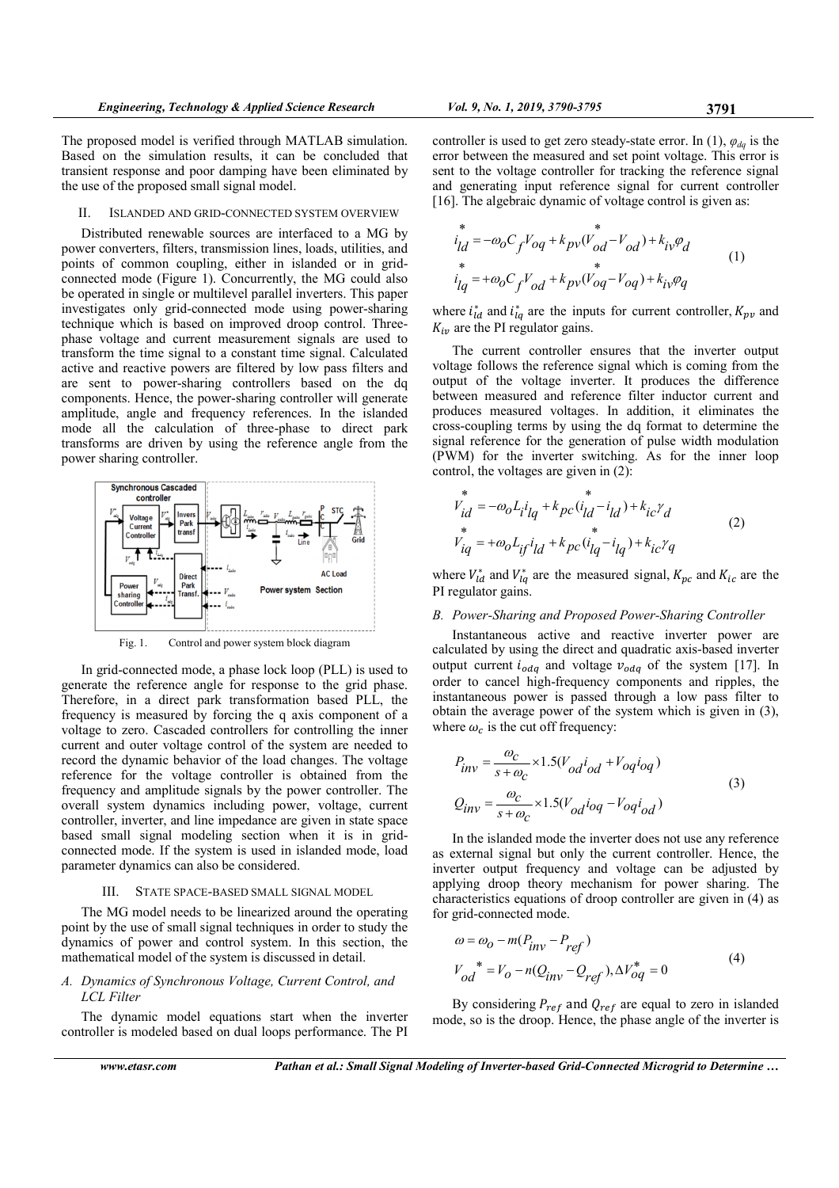The proposed model is verified through MATLAB simulation. Based on the simulation results, it can be concluded that transient response and poor damping have been eliminated by the use of the proposed small signal model.

### II. ISLANDED AND GRID-CONNECTED SYSTEM OVERVIEW

Distributed renewable sources are interfaced to a MG by power converters, filters, transmission lines, loads, utilities, and points of common coupling, either in islanded or in gridconnected mode (Figure 1). Concurrently, the MG could also be operated in single or multilevel parallel inverters. This paper investigates only grid-connected mode using power-sharing technique which is based on improved droop control. Threephase voltage and current measurement signals are used to transform the time signal to a constant time signal. Calculated active and reactive powers are filtered by low pass filters and are sent to power-sharing controllers based on the dq components. Hence, the power-sharing controller will generate amplitude, angle and frequency references. In the islanded mode all the calculation of three-phase to direct park transforms are driven by using the reference angle from the power sharing controller.



In grid-connected mode, a phase lock loop (PLL) is used to generate the reference angle for response to the grid phase. Therefore, in a direct park transformation based PLL, the frequency is measured by forcing the q axis component of a voltage to zero. Cascaded controllers for controlling the inner current and outer voltage control of the system are needed to record the dynamic behavior of the load changes. The voltage reference for the voltage controller is obtained from the frequency and amplitude signals by the power controller. The overall system dynamics including power, voltage, current controller, inverter, and line impedance are given in state space based small signal modeling section when it is in gridconnected mode. If the system is used in islanded mode, load parameter dynamics can also be considered.

## III. STATE SPACE-BASED SMALL SIGNAL MODEL

The MG model needs to be linearized around the operating point by the use of small signal techniques in order to study the dynamics of power and control system. In this section, the mathematical model of the system is discussed in detail.

## A. Dynamics of Synchronous Voltage, Current Control, and LCL Filter

The dynamic model equations start when the inverter controller is modeled based on dual loops performance. The PI controller is used to get zero steady-state error. In (1),  $\varphi_{dq}$  is the error between the measured and set point voltage. This error is sent to the voltage controller for tracking the reference signal and generating input reference signal for current controller [16]. The algebraic dynamic of voltage control is given as:

$$
i_{ld}^* = -\omega_0 C_f V_{0q} + k_{pv} (V_{od}^* - V_{od}) + k_{iv} \varphi_d
$$
  
\n
$$
i_{lq}^* = +\omega_0 C_f V_{od} + k_{pv} (V_{0q}^* - V_{0q}) + k_{iv} \varphi_q
$$
 (1)

where  $i_{ld}^*$  and  $i_{lq}^*$  are the inputs for current controller,  $K_{pv}$  and  $K_{iv}$  are the PI regulator gains.

The current controller ensures that the inverter output voltage follows the reference signal which is coming from the output of the voltage inverter. It produces the difference between measured and reference filter inductor current and produces measured voltages. In addition, it eliminates the cross-coupling terms by using the dq format to determine the signal reference for the generation of pulse width modulation (PWM) for the inverter switching. As for the inner loop control, the voltages are given in (2):

$$
v_{id}^* = -\omega_0 L_i i_{lq} + k_{pc} (i_{ld}^* - i_{ld}) + k_{ic} \gamma_d
$$
  
\n
$$
v_{iq}^* = +\omega_0 L_{if} i_{ld} + k_{pc} (i_{lq}^* - i_{lq}) + k_{ic} \gamma_q
$$
\n(2)

where  $V_{ld}^*$  and  $V_{lq}^*$  are the measured signal,  $K_{pc}$  and  $K_{ic}$  are the PI regulator gains.

# B. Power-Sharing and Proposed Power-Sharing Controller

Instantaneous active and reactive inverter power are calculated by using the direct and quadratic axis-based inverter output current  $i_{odq}$  and voltage  $v_{odq}$  of the system [17]. In order to cancel high-frequency components and ripples, the instantaneous power is passed through a low pass filter to obtain the average power of the system which is given in (3), where  $\omega_c$  is the cut off frequency:

$$
P_{inv} = \frac{\omega_c}{s + \omega_c} \times 1.5(V_{od}i_{od} + V_{og}i_{og})
$$
  

$$
Q_{inv} = \frac{\omega_c}{s + \omega_c} \times 1.5(V_{od}i_{og} - V_{og}i_{od})
$$
 (3)

In the islanded mode the inverter does not use any reference as external signal but only the current controller. Hence, the inverter output frequency and voltage can be adjusted by applying droop theory mechanism for power sharing. The characteristics equations of droop controller are given in (4) as for grid-connected mode.

$$
\omega = \omega_0 - m(P_{inv} - P_{ref})
$$
  
\n
$$
V_{od}^* = V_0 - n(Q_{inv} - Q_{ref}), \Delta V_{og}^* = 0
$$
 (4)

By considering  $P_{ref}$  and  $Q_{ref}$  are equal to zero in islanded mode, so is the droop. Hence, the phase angle of the inverter is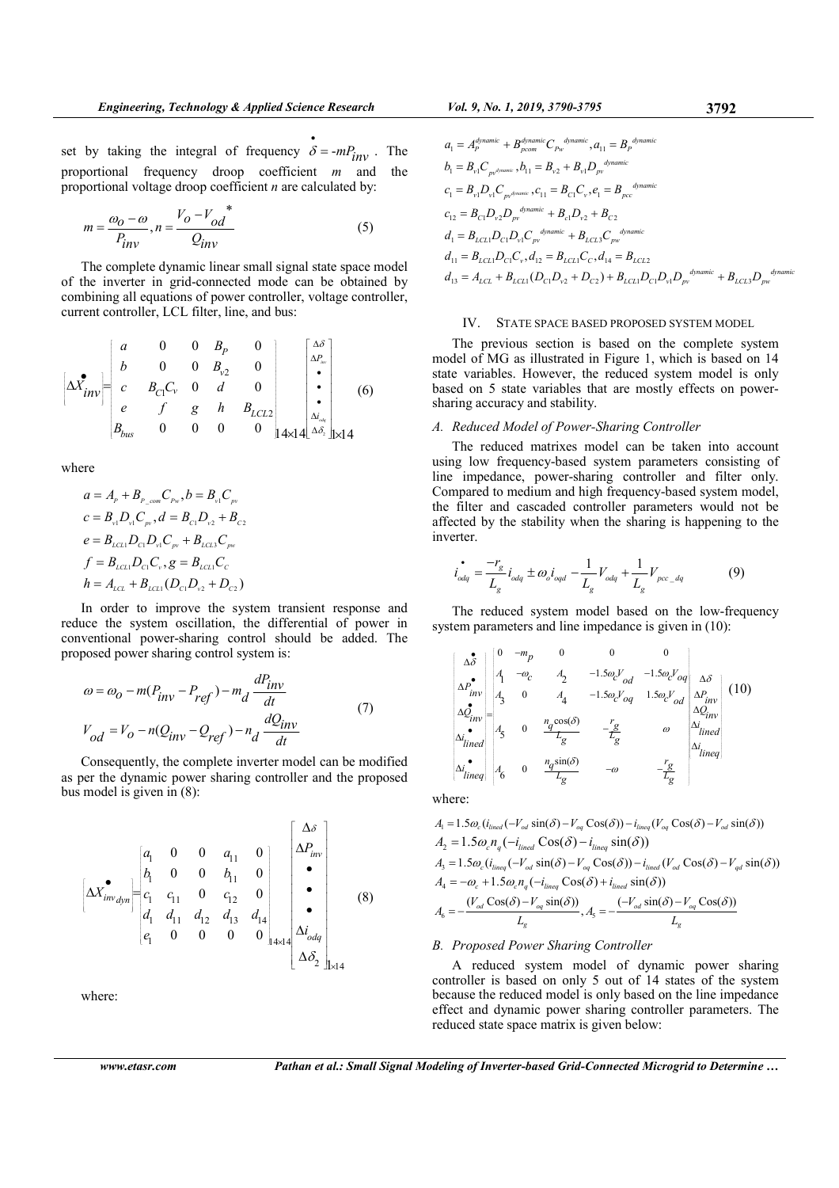set by taking the integral of frequency •  $\delta$  = - $mP_{inv}$ . The proportional frequency droop coefficient m and the proportional voltage droop coefficient  $n$  are calculated by:

$$
m = \frac{\omega_0 - \omega}{P_{inv}}, n = \frac{V_0 - V_{od}^*}{Q_{inv}}
$$
(5)

The complete dynamic linear small signal state space model of the inverter in grid-connected mode can be obtained by combining all equations of power controller, voltage controller, current controller, LCL filter, line, and bus:

$$
\begin{bmatrix} \Delta \mathbf{X}^{\bullet}_{inv} \end{bmatrix} = \begin{bmatrix} a & 0 & 0 & B_{P} & 0 \\ b & 0 & 0 & B_{v2} & 0 \\ c & B_{C1}C_{v} & 0 & d & 0 \\ e & f & g & h & B_{LCL2} \\ B_{bus} & 0 & 0 & 0 & 0 & 14 \times 14 \end{bmatrix} \begin{bmatrix} \Delta \delta \\ \Delta P_{inv} \\ \vdots \\ \Delta P_{av} \\ \Delta S_{z} \end{bmatrix} \times 14 \tag{6}
$$

where

$$
a = A_p + B_{P_{com}} C_{P_w}, b = B_{v_1} C_{p_v}
$$
  
\n
$$
c = B_{v_1} D_{v_1} C_{p_v}, d = B_{c_1} D_{v_2} + B_{c_2}
$$
  
\n
$$
e = B_{LCL1} D_{c_1} D_{v_1} C_{p_v} + B_{LCL3} C_{p_v}
$$
  
\n
$$
f = B_{LCL1} D_{c_1} C_{v}, g = B_{LCL1} C_{c}
$$
  
\n
$$
h = A_{LCL} + B_{LCL1} (D_{C1} D_{v_2} + D_{C2})
$$

In order to improve the system transient response and reduce the system oscillation, the differential of power in conventional power-sharing control should be added. The proposed power sharing control system is:

$$
\omega = \omega_0 - m(P_{inv} - P_{ref}) - m_d \frac{dP_{inv}}{dt}
$$
  
\n
$$
V_{od} = V_o - n(Q_{inv} - Q_{ref}) - n_d \frac{dQ_{inv}}{dt}
$$
 (7)

Consequently, the complete inverter model can be modified as per the dynamic power sharing controller and the proposed bus model is given in (8):

$$
\left[\Delta X^{\bullet}_{inv_{dyn}}\right] = \begin{bmatrix} a_{1} & 0 & 0 & a_{11} & 0 \\ b_{1} & 0 & 0 & b_{11} & 0 \\ c_{1} & c_{11} & 0 & c_{12} & 0 \\ d_{1} & d_{11} & d_{12} & d_{13} & d_{14} \\ e_{1} & 0 & 0 & 0 & 0 \end{bmatrix} \begin{bmatrix} \Delta \delta \\ \Delta P_{inv} \\ \bullet \\ \bullet \\ \bullet \\ \Delta i_{odd} \\ \Delta \delta_{2} \end{bmatrix}
$$
(8)

where:

$$
a_{1} = A_{P}^{dynamic} + B_{pcom}^{dynamic}C_{P_{W}}^{dynamic}, a_{11} = B_{P}^{dynamic}
$$
\n
$$
b_{1} = B_{v1}C_{pv^{dynamic}}, b_{11} = B_{v2} + B_{v1}D_{pv}^{dynamic}
$$
\n
$$
c_{1} = B_{v1}D_{v1}C_{pv^{dynamic}} \cdot c_{11} = B_{C1}C_{v}, e_{1} = B_{pcc}^{dynamic}
$$
\n
$$
c_{12} = B_{C1}D_{v2}D_{pv}^{dynamic} + B_{c1}D_{v2} + B_{C2}
$$
\n
$$
d_{1} = B_{LCL1}D_{C1}D_{v1}C_{pv}^{dynamic} + B_{LCL2}C_{pv}^{dynamic}
$$
\n
$$
d_{11} = B_{LCL1}D_{C1}C_{v}, d_{12} = B_{LCL1}C_{C}, d_{14} = B_{LCL2}
$$
\n
$$
d_{13} = A_{LCL} + B_{LCL1}(D_{C1}D_{v2} + D_{C2}) + B_{LCL1}D_{C1}D_{v1}D_{pv}^{dynamic} + B_{LCL3}D_{pw}^{dynamic}
$$

### IV. STATE SPACE BASED PROPOSED SYSTEM MODEL

The previous section is based on the complete system model of MG as illustrated in Figure 1, which is based on 14 state variables. However, the reduced system model is only based on 5 state variables that are mostly effects on powersharing accuracy and stability.

## A. Reduced Model of Power-Sharing Controller

The reduced matrixes model can be taken into account using low frequency-based system parameters consisting of line impedance, power-sharing controller and filter only. Compared to medium and high frequency-based system model, the filter and cascaded controller parameters would not be affected by the stability when the sharing is happening to the inverter.

$$
\vec{i}_{\text{odq}} = \frac{-r_g}{L_g} i_{\text{odq}} \pm \omega_o i_{\text{ogd}} - \frac{1}{L_g} V_{\text{odq}} + \frac{1}{L_g} V_{\text{pcc\_dq}}
$$
(9)

The reduced system model based on the low-frequency system parameters and line impedance is given in (10):

$$
\begin{bmatrix}\n\Delta \delta \\
\Delta \delta \\
\Delta P_{inv}^{\bullet} \\
A_1 & -\omega_c \\
A_2 & -1.5 \omega_c V_{od} - 1.5 \omega_c V_{og} \\
A_3 & 0 & A_4 & -1.5 \omega_c V_{og} - 1.5 \omega_c V_{od} \\
\Delta Q_{inv}^{\bullet} =\n\begin{bmatrix}\n\Delta \delta \\
A_2 & 0 & A_4 \\
\Delta Q_{inv}^{\bullet} & \Delta Q_{inv}^{\bullet}\n\end{bmatrix}\n\begin{bmatrix}\n10 \\
\Delta Q_{inv}^{\bullet} \\
A_2 & -1.5 \omega_c V_{od} - 1.5 \omega_c V_{od} \\
\Delta Q_{inv}^{\bullet} \\
A_2 & -1.5 \omega_c V_{od} - 1.5 \omega_c V_{od} \\
\Delta Q_{inv}^{\bullet} \\
A_2 & -1.5 \omega_c V_{od} - 1.5 \omega_c V_{od} \\
\Delta Q_{inv}^{\bullet} \\
A_2 & -1.5 \omega_c V_{od} - 1.5 \omega_c V_{od} \\
\Delta Q_{inv}^{\bullet} \\
A_2 & -1.5 \omega_c V_{od} - 1.5 \omega_c V_{od} \\
\Delta Q_{inv}^{\bullet} \\
A_2 & -1.5 \omega_c V_{od} - 1.5 \omega_c V_{od} \\
\Delta Q_{inv}^{\bullet} \\
A_2 & -1.5 \omega_c V_{od} - 1.5 \omega_c V_{od} \\
\Delta Q_{inv}^{\bullet} \\
A_2 & -1.5 \omega_c V_{od} - 1.5 \omega_c V_{od} \\
\Delta Q_{inv}^{\bullet} \\
A_2 & -1.5 \omega_c V_{od} - 1.5 \omega_c V_{od} \\
\Delta Q_{inv}^{\bullet} \\
A_2 & -1.5 \omega_c V_{od} - 1.5 \omega_c V_{od} \\
\Delta Q_{inv}^{\bullet} \\
A_2 & -1.5 \omega_c V_{od} - 1.5 \omega_c V_{od} \\
\Delta Q_{inv}^{\bullet} \\
A_2 & -1.5 \omega_c V_{od} - 1.5 \omega_c V_{od} \\
\Delta Q_{inv}^{\bullet} \\
A_2 & -1.5 \omega_c V_{od} - 1.5 \omega_c V_{od} \\
\Delta Q_{inv}^{\bullet} \\
A_2 & -1.5 \omega_c V_{od} - 1.5 \omega_c V_{od} \\
\Delta Q_{inv}^{\bullet} \\
A_2 & -1.5 \omega_c V_{od} - 1.5 \omega_c V_{od} \\
$$

where:

$$
A_1 = 1.5\omega_c (i_{lined}(-V_{od}\sin(\delta) - V_{og}\cos(\delta)) - i_{lineq}(V_{og}\cos(\delta) - V_{od}\sin(\delta))
$$
  
\n
$$
A_2 = 1.5\omega_c n_q(-i_{lined}\cos(\delta) - i_{lineq}\sin(\delta))
$$
  
\n
$$
A_3 = 1.5\omega_c (i_{lineq}(-V_{od}\sin(\delta) - V_{og}\cos(\delta)) - i_{lined}(V_{od}\cos(\delta) - V_{gd}\sin(\delta))
$$
  
\n
$$
A_4 = -\omega_c + 1.5\omega_c n_q(-i_{lineq}\cos(\delta) + i_{lined}\sin(\delta))
$$
  
\n
$$
A_6 = -\frac{(V_{od}\cos(\delta) - V_{og}\sin(\delta))}{L_g}, A_5 = -\frac{(-V_{od}\sin(\delta) - V_{og}\cos(\delta))}{L_g}
$$

## B. Proposed Power Sharing Controller

A reduced system model of dynamic power sharing controller is based on only 5 out of 14 states of the system because the reduced model is only based on the line impedance effect and dynamic power sharing controller parameters. The reduced state space matrix is given below: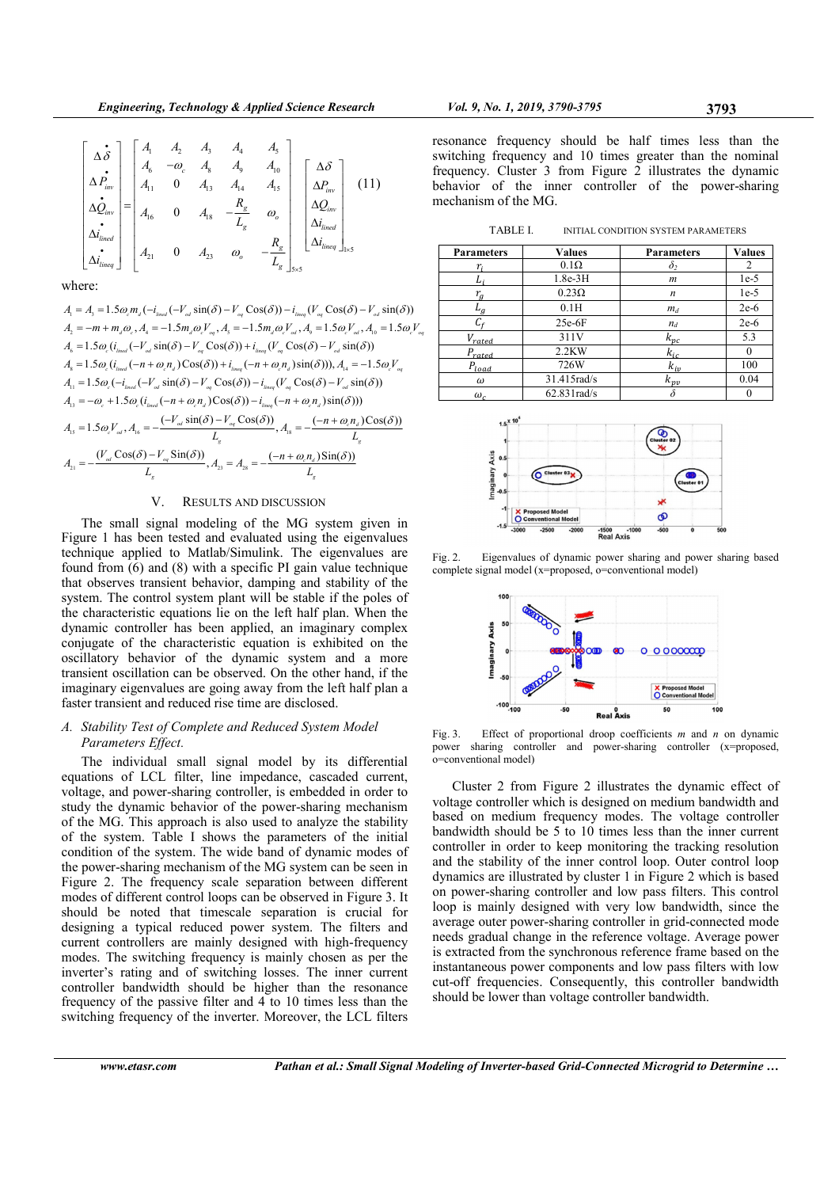$$
\begin{bmatrix}\n\Delta \tilde{\boldsymbol{\delta}} \\
\Delta \tilde{P}_{inv} \\
\Delta \tilde{Q}_{inv} \\
\vdots \\
\Delta \tilde{Q}_{inv} \\
\vdots \\
\Delta \tilde{Q}_{inv} \\
\vdots \\
\Delta \tilde{Q}_{inv}\n\end{bmatrix} = \begin{bmatrix}\nA_1 & A_2 & A_3 & A_4 & A_5 \\
A_6 & -\omega_c & A_8 & A_9 & A_{10} \\
A_1 & 0 & A_3 & A_{14} & A_{15} \\
A_{16} & 0 & A_{18} & -\frac{R_g}{L_g} & \omega_o \\
A_{16} & 0 & A_{23} & \omega_o & -\frac{R_g}{L_g}\n\end{bmatrix} \begin{bmatrix}\n\Delta \tilde{\boldsymbol{\delta}} \\
\Delta P_{inv} \\
\Delta Q_{inv} \\
\Delta I_{inv} \\
\Delta I_{inv} \\
\Delta I_{inv} \\
\vdots \\
\Delta I_{inv} \\
\Delta I_{inv}\n\end{bmatrix}
$$
\n(11)

where:

 $A_1 = A_3 = 1.5\omega_c m_d (-i_{\text{line}} (-V_{od} \sin(\delta) - V_{od} \cos(\delta)) - i_{\text{line}} (V_{od} \cos(\delta) - V_{od} \sin(\delta)))$  $A_2 = -m + m_a \omega_c, A_4 = -1.5 m_a \omega_c V_{eq}, A_5 = -1.5 m_a \omega_c V_{od}, A_9 = 1.5 \omega_c V_{od}, A_{10} = 1.5 \omega_c V_{eq}$  $A_{\delta} = 1.5\omega_c (i_{\text{line}}(-V_{od} \sin(\delta) - V_{od} \cos(\delta)) + i_{\text{line}}(V_{od} \cos(\delta) - V_{od} \sin(\delta)))$  $A_{\rm s} = 1.5\omega_c (i_{\rm lined}(-n+\omega_c n_d) \cos(\delta)) + i_{\rm lineq}(-n+\omega_c n_d) \sin(\delta))$ ),  $A_{\rm 14} = -1.5\omega_c V_{\rm eq}$  $A_{11} = 1.5\omega_c(-i_{\text{linear}}(-V_{od}\sin(\delta)-V_{og}\cos(\delta)) - i_{\text{linear}}(V_{og}\cos(\delta)-V_{od}\sin(\delta))$  $A_{13} = -\omega_c + 1.5\omega_c (i_{\text{lined}} (-n + \omega_c n_d) \cos(\delta)) - i_{\text{lineg}} (-n + \omega_c n_d) \sin(\delta)))$  $A_{15} = 1.5 \omega_c V_{od}$ ,  $A_{16} = -\frac{(1.5 \omega d)^{3.2} \times (1.5 \omega d)^{2.2}}{I}$ ,  $A_{18}$ 21  $\mathbf{r}$  ,  $\mathbf{r}$  ,  $\mathbf{r}$  ,  $\mathbf{r}$  ,  $\mathbf{r}$  ,  $\mathbf{r}$  ,  $\mathbf{r}$  ,  $\mathbf{r}$  ,  $\mathbf{r}$  $1.5\omega_c V_{\omega l}, A_{16} = -\frac{(-V_{\omega l}\sin(\delta) - V_{\omega q}\cos(\delta))}{L}, A_{18} = -\frac{(-n + \omega_c n_d)\cos(\delta))}{L}$  $\frac{(V_{\omega} \cos(\delta) - V_{\omega} \sin(\delta))}{(V_{\omega} \cos(\delta) - V_{\omega})}, A_{\omega} = A_{\omega} = -\frac{(-n + \omega_{\omega} n_{\omega}) \sin(\delta))}{(V_{\omega} \cos(\delta) - V_{\omega} \cos(\delta))}$  $\omega V_{\alpha} A_{\alpha} = -\frac{(-V_{\alpha d} \sin(\delta) - V_{\alpha d} \cos(\delta))}{\sigma^2} A_{\alpha} = -\frac{(-n + \omega_c n_d) \cos(\delta \delta)}{\sigma^2}$  $\delta$ ) –  $V_{\omega}$  Sin( $\delta$ )) (-n +  $\omega_{\omega}$ n<sub>d</sub>) Sin( $\delta$  $= 1.5 \omega V_{\text{rel}} A_{\text{ls}} = -\frac{(-V_{\text{ol}} \sin(\delta) - V_{\text{ol}} \cos(\delta))}{\epsilon} A_{\text{ls}} = -\frac{(-n + \epsilon)}{(\epsilon - \epsilon)^2}$  $=-\frac{(V_{od} \cos(\delta)-V_{og} \sin(\delta))}{I_{og} S_{g}}$ ,  $A_{33} = A_{18} = -\frac{(-n+1)}{I_{og} S_{g}}$  $e_{\alpha}V_{\alpha}$ ,  $A_{16} = -\frac{(V_{\alpha d} \sin(\theta) - V_{\alpha q} \cos(\theta))}{L_g}, A_{18} = -\frac{(h + \omega_c)_{\alpha d}}{L_g}$ od  $\sigma$  $g$  and  $L_g$  $V_{\omega l}$ ,  $A_{16} = -\frac{(-V_{\omega l} \sin(\delta) - V_{\omega q} \cos(\delta))}{L_{\omega}}, A_{18} = -\frac{(-n + \omega_c n_a)}{L_{\omega}}$  $A_{21} = -\frac{(V_{od} \cos(\delta) - V_{og} \sin(\delta))}{L_{g}}$ ,  $A_{23} = A_{28} = -\frac{(-n + \omega_{c} n_{d})}{L_{g}}$ 

# V. RESULTS AND DISCUSSION

The small signal modeling of the MG system given in Figure 1 has been tested and evaluated using the eigenvalues technique applied to Matlab/Simulink. The eigenvalues are found from  $(6)$  and  $(8)$  with a specific PI gain value technique that observes transient behavior, damping and stability of the system. The control system plant will be stable if the poles of the characteristic equations lie on the left half plan. When the dynamic controller has been applied, an imaginary complex conjugate of the characteristic equation is exhibited on the oscillatory behavior of the dynamic system and a more transient oscillation can be observed. On the other hand, if the imaginary eigenvalues are going away from the left half plan a faster transient and reduced rise time are disclosed.

# A. Stability Test of Complete and Reduced System Model Parameters Effect.

The individual small signal model by its differential equations of LCL filter, line impedance, cascaded current, voltage, and power-sharing controller, is embedded in order to study the dynamic behavior of the power-sharing mechanism of the MG. This approach is also used to analyze the stability of the system. Table I shows the parameters of the initial condition of the system. The wide band of dynamic modes of the power-sharing mechanism of the MG system can be seen in Figure 2. The frequency scale separation between different modes of different control loops can be observed in Figure 3. It should be noted that timescale separation is crucial for designing a typical reduced power system. The filters and current controllers are mainly designed with high-frequency modes. The switching frequency is mainly chosen as per the inverter's rating and of switching losses. The inner current controller bandwidth should be higher than the resonance frequency of the passive filter and 4 to 10 times less than the switching frequency of the inverter. Moreover, the LCL filters

resonance frequency should be half times less than the switching frequency and 10 times greater than the nominal frequency. Cluster 3 from Figure 2 illustrates the dynamic behavior of the inner controller of the power-sharing mechanism of the MG.

TABLE I. INITIAL CONDITION SYSTEM PARAMETERS

| <b>Parameters</b> | <b>Values</b> | <b>Parameters</b> | <b>Values</b> |
|-------------------|---------------|-------------------|---------------|
| r:                | $0.1\Omega$   | $\delta_2$        | 2             |
|                   | $1.8e-3H$     | $\boldsymbol{m}$  | $1e-5$        |
| $r_{q}$           | $0.23\Omega$  | $\boldsymbol{n}$  | $1e-5$        |
|                   | 0.1H          | $m_d$             | $2e-6$        |
|                   | $25e-6F$      | $n_d$             | $2e-6$        |
| $V_{rated}$       | 311V          | $k_{pc}$          | 5.3           |
| $P_{rated}$       | $2.2$ KW      | $k_{ic}$          |               |
| $P_{load}$        | 726W          | $k_{iv}$          | 100           |
| $\omega$          | 31.415rad/s   | $k_{\nu\nu}$      | 0.04          |
| $\omega_c$        | 62.831rad/s   |                   |               |



Fig. 2. Eigenvalues of dynamic power sharing and power sharing based complete signal model (x=proposed, o=conventional model)



Fig. 3. Effect of proportional droop coefficients  $m$  and  $n$  on dynamic power sharing controller and power-sharing controller (x=proposed, o=conventional model)

Cluster 2 from Figure 2 illustrates the dynamic effect of voltage controller which is designed on medium bandwidth and based on medium frequency modes. The voltage controller bandwidth should be 5 to 10 times less than the inner current controller in order to keep monitoring the tracking resolution and the stability of the inner control loop. Outer control loop dynamics are illustrated by cluster 1 in Figure 2 which is based on power-sharing controller and low pass filters. This control loop is mainly designed with very low bandwidth, since the average outer power-sharing controller in grid-connected mode needs gradual change in the reference voltage. Average power is extracted from the synchronous reference frame based on the instantaneous power components and low pass filters with low cut-off frequencies. Consequently, this controller bandwidth should be lower than voltage controller bandwidth.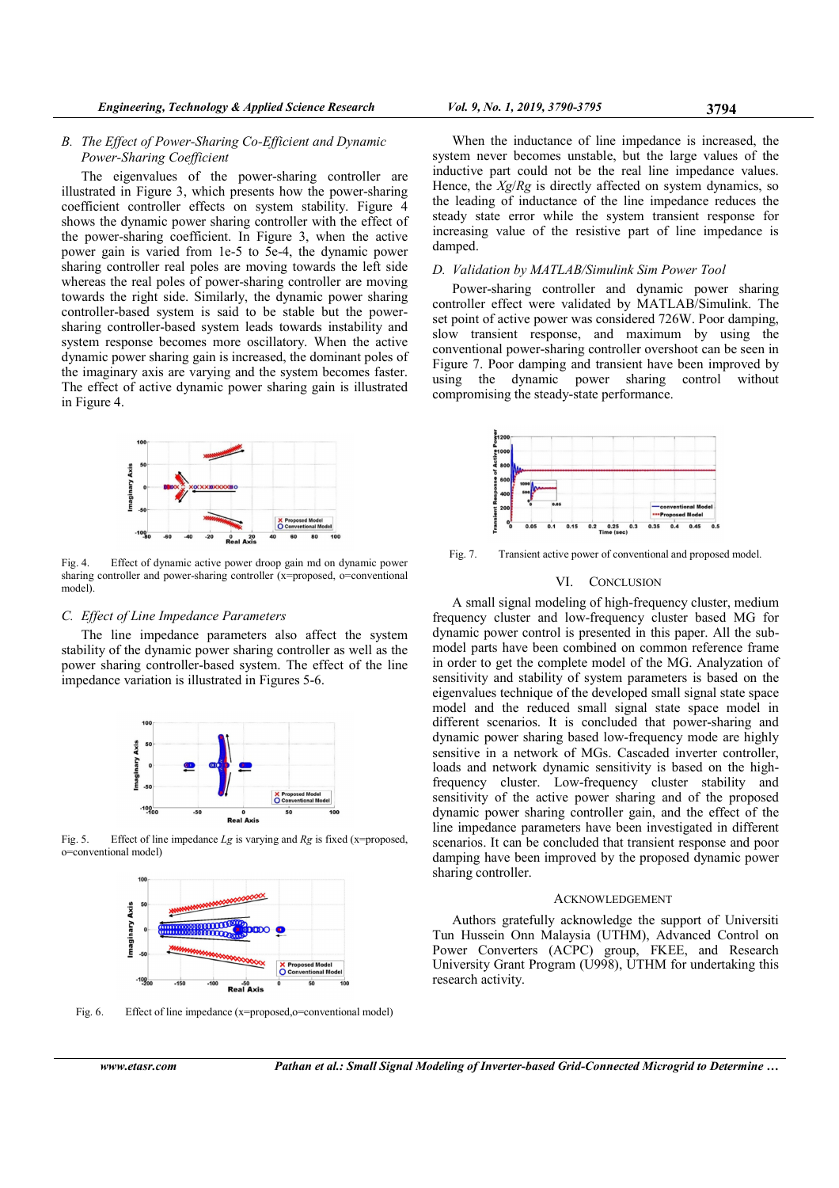# B. The Effect of Power-Sharing Co-Efficient and Dynamic Power-Sharing Coefficient

The eigenvalues of the power-sharing controller are illustrated in Figure 3, which presents how the power-sharing coefficient controller effects on system stability. Figure 4 shows the dynamic power sharing controller with the effect of the power-sharing coefficient. In Figure 3, when the active power gain is varied from 1e-5 to 5e-4, the dynamic power sharing controller real poles are moving towards the left side whereas the real poles of power-sharing controller are moving towards the right side. Similarly, the dynamic power sharing controller-based system is said to be stable but the powersharing controller-based system leads towards instability and system response becomes more oscillatory. When the active dynamic power sharing gain is increased, the dominant poles of the imaginary axis are varying and the system becomes faster. The effect of active dynamic power sharing gain is illustrated in Figure 4.



Fig. 4. Effect of dynamic active power droop gain md on dynamic power sharing controller and power-sharing controller (x=proposed, o=conventional model).

## C. Effect of Line Impedance Parameters

The line impedance parameters also affect the system stability of the dynamic power sharing controller as well as the power sharing controller-based system. The effect of the line impedance variation is illustrated in Figures 5-6.



Fig. 5. Effect of line impedance  $Lg$  is varying and  $Rg$  is fixed (x=proposed, o=conventional model)



Fig. 6. Effect of line impedance (x=proposed,o=conventional model)

When the inductance of line impedance is increased, the system never becomes unstable, but the large values of the inductive part could not be the real line impedance values. Hence, the  $Xg/Rg$  is directly affected on system dynamics, so the leading of inductance of the line impedance reduces the steady state error while the system transient response for increasing value of the resistive part of line impedance is damped.

# D. Validation by MATLAB/Simulink Sim Power Tool

Power-sharing controller and dynamic power sharing controller effect were validated by MATLAB/Simulink. The set point of active power was considered 726W. Poor damping, slow transient response, and maximum by using the conventional power-sharing controller overshoot can be seen in Figure 7. Poor damping and transient have been improved by using the dynamic power sharing control without compromising the steady-state performance.



Fig. 7. Transient active power of conventional and proposed model.

## VI. CONCLUSION

A small signal modeling of high-frequency cluster, medium frequency cluster and low-frequency cluster based MG for dynamic power control is presented in this paper. All the submodel parts have been combined on common reference frame in order to get the complete model of the MG. Analyzation of sensitivity and stability of system parameters is based on the eigenvalues technique of the developed small signal state space model and the reduced small signal state space model in different scenarios. It is concluded that power-sharing and dynamic power sharing based low-frequency mode are highly sensitive in a network of MGs. Cascaded inverter controller, loads and network dynamic sensitivity is based on the highfrequency cluster. Low-frequency cluster stability and sensitivity of the active power sharing and of the proposed dynamic power sharing controller gain, and the effect of the line impedance parameters have been investigated in different scenarios. It can be concluded that transient response and poor damping have been improved by the proposed dynamic power sharing controller.

#### ACKNOWLEDGEMENT

Authors gratefully acknowledge the support of Universiti Tun Hussein Onn Malaysia (UTHM), Advanced Control on Power Converters (ACPC) group, FKEE, and Research University Grant Program (U998), UTHM for undertaking this research activity.